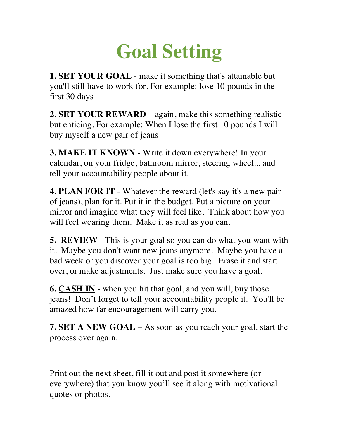## **Goal Setting**

**1. SET YOUR GOAL** - make it something that's attainable but you'll still have to work for. For example: lose 10 pounds in the first 30 days

**2. SET YOUR REWARD** – again, make this something realistic but enticing. For example: When I lose the first 10 pounds I will buy myself a new pair of jeans

**3. MAKE IT KNOWN** - Write it down everywhere! In your calendar, on your fridge, bathroom mirror, steering wheel... and tell your accountability people about it.

**4. PLAN FOR IT** - Whatever the reward (let's say it's a new pair of jeans), plan for it. Put it in the budget. Put a picture on your mirror and imagine what they will feel like. Think about how you will feel wearing them. Make it as real as you can.

**5. REVIEW** - This is your goal so you can do what you want with it. Maybe you don't want new jeans anymore. Maybe you have a bad week or you discover your goal is too big. Erase it and start over, or make adjustments. Just make sure you have a goal.

**6. CASH IN** - when you hit that goal, and you will, buy those jeans! Don't forget to tell your accountability people it. You'll be amazed how far encouragement will carry you.

**7. SET A NEW GOAL** – As soon as you reach your goal, start the process over again.

Print out the next sheet, fill it out and post it somewhere (or everywhere) that you know you'll see it along with motivational quotes or photos.